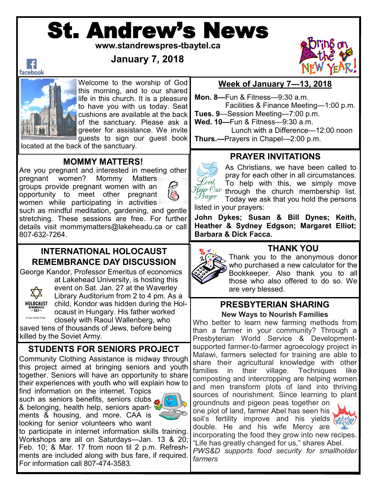# St. Andrew's News

**www.standrewspres-tbaytel.ca**

**January 7, 2018**



#### $\vert f \vert$ facebook



Welcome to the worship of God this morning, and to our shared life in this church. It is a pleasure to have you with us today. Seat cushions are available at the back of the sanctuary. Please ask a greeter for assistance. We invite guests to sign our guest book

located at the back of the sanctuary.

# **MOMMY MATTERS!**

Are you pregnant and interested in meeting other pregnant women? Mommy Matters

groups provide pregnant women with an opportunity to meet other pregnant women while participating in activities



such as mindful meditation, gardening, and gentle stretching. These sessions are free. For further details visit mommymatters@lakeheadu.ca or call 807-632-7264.

# **INTERNATIONAL HOLOCAUST REMEMBRANCE DAY DISCUSSION**

George Kandor, Professor Emeritus of economics



Can Stock Photo

at Lakehead University, is hosting this event on Sat. Jan. 27 at the Waverley Library Auditorium from 2 to 4 pm. As a child, Kondor was hidden during the Holocaust in Hungary. His father worked closely with Raoul Wallenberg, who saved tens of thousands of Jews, before being

killed by the Soviet Army.

# **STUDENTS FOR SENIORS PROJECT**

Community Clothing Assistance is midway through this project aimed at bringing seniors and youth together. Seniors will have an opportunity to share their experiences with youth who will explain how to

find information on the internet. Topics such as seniors benefits, seniors clubs & belonging, health help, seniors apartments & housing, and more. CAA is looking for senior volunteers who want



*farmers*

to participate in internet information skills training. Workshops are all on Saturdays—Jan. 13 & 20; Feb. 10; & Mar. 17 from noon til 2 p.m. Refreshments are included along with bus fare, if required. For information call 807-474-3583.

# **Week of January 7—13, 2018**

**Mon. 8—**Fun & Fitness—9:30 a.m. Facilities & Finance Meeting—1:00 p.m.

**Tues. 9**—Session Meeting—7:00 p.m.

**Wed. 10—**Fun & Fitness—9:30 a.m. Lunch with a Difference—12:00 noon

**Thurs.—**Prayers in Chapel—2:00 p.m.

# **PRAYER INVITATIONS**

As Christians, we have been called to pray for each other in all circumstances. Lord, To help with this, we simply move  $^{t}\!{\not\!e} gr \: 0ur$  through the church membership list. Prayer Today we ask that you hold the persons listed in your prayers:

**John Dykes; Susan & Bill Dynes; Keith, Heather & Sydney Edgson; Margaret Elliot; Barbara & Dick Facca.**



Thank you to the anonymous donor who purchased a new calculator for the Bookkeeper. Also thank you to all those who also offered to do so. We are very blessed.

#### **PRESBYTERIAN SHARING New Ways to Nourish Families**

Who better to learn new farming methods from than a farmer in your community? Through a Presbyterian World Service & Developmentsupported farmer-to-farmer agroecology project in Malawi, farmers selected for training are able to share their agricultural knowledge with other families in their village. Techniques like composting and intercropping are helping women and men transform plots of land into thriving sources of nourishment. Since learning to plant groundnuts and pigeon peas together on

one plot of land, farmer Abel has seen his soil's fertility improve and his yields  $\sqrt{2}$ double. He and his wife Mercy are



incorporating the food they grow into new recipes. "Life has greatly changed for us," shares Abel. *PWS&D supports food security for smallholder*